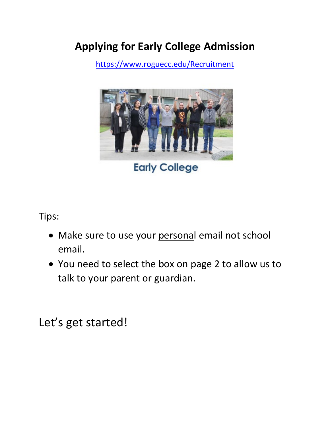# **Applying for Early College Admission**

https://w[ww.roguecc.edu/Recruitmen](https://web.roguecc.edu/admissions)[t](https://www.roguecc.edu/Recruitment/default.asp)



**Early College** 

Tips:

- Make sure to use your personal email not school email.
- talk to your parent or guardian. • You need to select the box on page 2 to allow us to

Let's get started!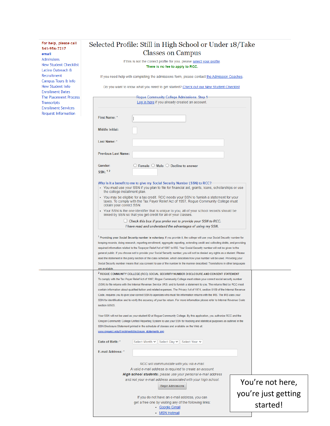| For help, please call<br>541-956-7217                   |                                                      | Selected Profile: Still in High School or Under 18/Take                                                                                                                                                                                                          |                     |
|---------------------------------------------------------|------------------------------------------------------|------------------------------------------------------------------------------------------------------------------------------------------------------------------------------------------------------------------------------------------------------------------|---------------------|
| email                                                   |                                                      | <b>Classes on Campus</b>                                                                                                                                                                                                                                         |                     |
| <b>Admissions</b><br>New Student Checklist              |                                                      | If this is not the correct profile for you, please select your profile.<br>There is no fee to apply to RCC.                                                                                                                                                      |                     |
| Latino Outreach &<br>Recruitment                        |                                                      | If you need help with completing the admissions form, please contact the Admission Coaches.                                                                                                                                                                      |                     |
| Campus Tours & Info<br>New Student Info                 |                                                      | Do you want to know what you need to get started? Check out our New Student Checklist.                                                                                                                                                                           |                     |
| <b>Enrollment Dates</b><br><b>The Placement Process</b> |                                                      | Rogue Community College Admissions: Step 1-                                                                                                                                                                                                                      |                     |
| <b>Transcripts</b><br><b>Enrollment Services</b>        |                                                      | Log in here if you already created an account.                                                                                                                                                                                                                   |                     |
| Request Information                                     | First Name: *                                        |                                                                                                                                                                                                                                                                  |                     |
|                                                         | Middle Initial:                                      |                                                                                                                                                                                                                                                                  |                     |
|                                                         | Last Name: *                                         |                                                                                                                                                                                                                                                                  |                     |
|                                                         | <b>Previous Last Name:</b>                           |                                                                                                                                                                                                                                                                  |                     |
|                                                         | Gender:                                              | $\circlearrowright$ Female $\circlearrowright$ Male $\circlearrowright$ Decline to answer                                                                                                                                                                        |                     |
|                                                         | $SSN:$ <sup>12</sup>                                 |                                                                                                                                                                                                                                                                  |                     |
|                                                         | the college installment plan.                        | Why is it a benefit to me to give my Social Security Number (SSN) to RCC?<br>• You must use your SSN if you plan to file for financial aid, grants, loans, scholarships or use                                                                                   |                     |
|                                                         | obtain your correct SSN.                             | • You may be eligible for a tax credit. RCC needs your SSN to furnish a statement for your<br>taxes. To comply with the Tax Payer Relief Act of 1997, Rogue Community College must                                                                               |                     |
|                                                         |                                                      | • Your SSN is the one identifier that is unique to you, all of your school records should be<br>linked by SSN so that you get credit for all of your classes.                                                                                                    |                     |
|                                                         |                                                      | $\Box$ Check this box if you prefer not to provide your SSN to RCC.<br>I have read and understand the advantages of using my SSN.                                                                                                                                |                     |
|                                                         |                                                      | <sup>1</sup> Providing your Social Security number is voluntary. If you provide it, the college will use your Social Security number for                                                                                                                         |                     |
|                                                         |                                                      | keeping records, doing research, reporting enrollment, aggregate reporting, extending credit and collecting debts, and providing                                                                                                                                 |                     |
|                                                         |                                                      | required information related to the Taxpayer Relief Act of 1997 to IRS. Your Social Security number will not be given to the<br>general public. If you choose not to provide your Social Security number, you will not be denied any rights as a student. Please |                     |
|                                                         |                                                      | read the statement in the policy section of the class schedule, which describes how your number will be used. Providing your<br>Social Security number means that you consent to use of the number in the manner described. Translations in other languages      |                     |
|                                                         | are available                                        |                                                                                                                                                                                                                                                                  |                     |
|                                                         |                                                      | <sup>2</sup> ROGUE COMMUNITY COLLEGE (RCC) SOCIAL SECURITY NUMBER DISCLOSURE AND CONSENT STATEMENT<br>To comply with the Tax Payer Relief Act of 1997, Rogue Community College must obtain your correct social security number                                   |                     |
|                                                         |                                                      | (SSN) to file returns with the Internal Revenue Service (IRS) and to furnish a statement to you. The returns filed by RCC must                                                                                                                                   |                     |
|                                                         |                                                      | contain information about qualified tuition and related expenses. The Privacy Act of 1974, section 6109 of the Internal Revenue<br>Code, requires you to give your correct SSN to agencies who must file information returns with the IRS. The IRS uses your     |                     |
|                                                         | section 6050S.                                       | SSN for identification and to verify the accuracy of your tax return. For more information please refer to Internal Revenue Code                                                                                                                                 |                     |
|                                                         |                                                      | Your SSN will not be used as your student ID at Rogue Community College. By this application, you authorize RCC and the                                                                                                                                          |                     |
|                                                         |                                                      | Oregon Community College Unified Reporting System to use your SSN for tracking and statistical purposes as outlined in the<br>SSN Disclosure Statement printed in the schedule of classes and available on the Web at:                                           |                     |
|                                                         | www.roguecc.edu/Enrollment/disclosure statements.asp |                                                                                                                                                                                                                                                                  |                     |
|                                                         | Date of Birth: *                                     | Select Month V    Select Day V    Select Year V                                                                                                                                                                                                                  |                     |
|                                                         | E-mail Address: *                                    |                                                                                                                                                                                                                                                                  |                     |
|                                                         |                                                      | RCC will communicate with you via e-mail.<br>A valid e-mail address is required to create an account.                                                                                                                                                            |                     |
|                                                         |                                                      | High school students: please use your personal e-mail address<br>and not your e-mail address associated with your high school.                                                                                                                                   |                     |
|                                                         |                                                      | <b>Begin Admissions</b>                                                                                                                                                                                                                                          | You're not here,    |
|                                                         |                                                      | If you do not have an e-mail address, you can                                                                                                                                                                                                                    | you're just getting |
|                                                         |                                                      | get a free one by visiting any of the following links:<br>• Google Gmail<br>• MSN Hotmail                                                                                                                                                                        | started!            |
|                                                         |                                                      |                                                                                                                                                                                                                                                                  |                     |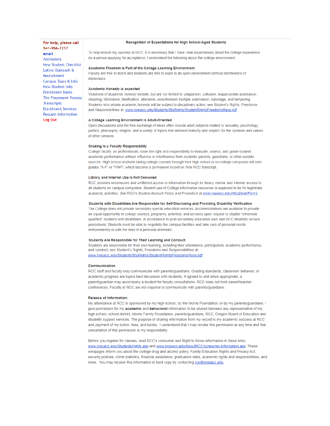**For help, please call 541-956-7217 email**  Admissions New Student Checklist Latino Out reach & Recruitment Campus Tours & Info New Student Info **Enrollment Dates** The Placement Process **Transcripts Enrollment Services** Request Information **Log Out** 

#### **Recognition of Expectations for High School-Aged Students**

To help ensure my success at RCC, it is necessany that I have clear expectations about the college experience. As a person applying for acceptance, I understand the following about the college environment:

#### **Academic Freedom is Part of the College Learning Environment**

Faculty are free to teach and students are free to learn in an open environment without interference or **intolerance** 

#### **Academic Honesty is expected**

Violations of academic honesty include, but are not limited to: plagiarism, collusion, inappropriate assistance, cheating, fabrication, falsification, alteration, unauthorized multiple submission, sabotage, and tampering. Students who violate academic honesty will be subject to disciplinary action; see Student's Rights, Freedoms and Responsibilities at: www.roguecc.edu/Students/StuRights/StudentRightsFreedomsResp.pdf

#### **A College Learning Environment Is Adult-Oriented**

Open discussions and the free exchange of ideas often include adult subjects related to sexuality, psychology, politics, philosophy, religion, and a variety of topics that demand maturity and respect for the opinions and values of other persons.

#### **Grading Is a Faculty Responsibility**

College faculty, as professionals, have the right and responsibility to evaluate, assess, and grade student academic performance without influence or interference from students' parents, guardians, or other outside sources. High school students taking college courses through their high school or on college campuses will earn grades "A-F" or "PINP", which become a permanent record on their RCC transcript.

#### **Library and Internet Use Is Not censored**

RCC provides uncensored and unfiltered access to information through its library, media, and internet access to all students on campus computers. Student use **of** College information resources is expected to be for legitimate academic activities. See RCC's Student Account Policy and Procedure at www.roguecc.edu/HelpDesk/Forms

#### **Students with Disabilities Are Responsible for Self-Disclosing and Providing Disability Verification**

The College does not provide secondary special education services. Accommodations are available to provide an equal opportunity in college courses, programs, activities, and services upon request to eligible "otherwise qualified" students with disabilities, in accordance to post-secondary education laws and RCC disability service procedures. Students must be able to negotiate the campus facilities and take care of personal needs independently or with the help of a personal attendant.

#### Students Are Responsible for Their Learning and Conduct

Students are responsible for their own learning, including their attendance, participation, academic performance, and conduct; see Student's Rights, Freedoms and Responsibilities at: www.roguecc.edu/Students/StuRights/StudentRightsFreedomsResp.pdf

#### Communication

RCC staff and faculty may communicate with parents/guardians. Grading standards, classroom behavior, or academic progress are topics best discussed with students. If agreed to and When appropriate, a parent/guardian may accompany a student for faculty consultations. RCC does not hold parent/teacher conferences. Faculty at RCC are not required to communicate with parents/guardians.

#### **Release** of Information:

My attendance at RCC is sponsored by my high school, by the Morris Foundation, or by my parents/guardians. I give permission for my **academic** and **behavioral** information to be shared between any representative of my high school, school district, Morns Family Foundation, parents/guardians, RCC, Oregon Board of Education and disability support services. The purpose of sharing information from my record is my academic success at RCC and payment of my tuition, fees, and books. I understand that I may revoke this permission at any time and that cancellation of this permission is my responsibility.

Before you register for classes, read RCC's consumer and Right to Know information in these links; www.roguecc.edu/Students/rights.asp and www.roguecc.edu/AboutRCC/consumer-information.asp. These webpages inform you about the college drug and alcohol policy, Family Education Rights and Privacy Act. security policies, crime statistics, financial assistance, graduation rates, academic rights and responsibilities, and more. You may receive this information in hard copy by contacting rcs@roquecc.edu.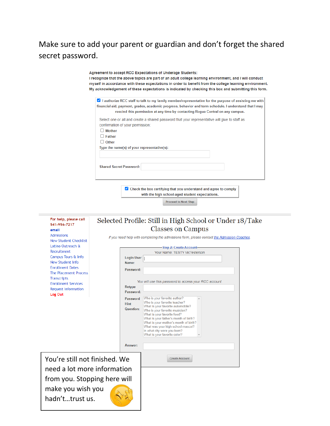Make sure to add your parent or guardian and don't forget the shared secret password.

> Agreement to accept RCC Expectations of Underage Students: I recognize that the above topics are part of an adult college learning environment, and I will conduct myself in accordance with these expectations in order to benefit from the college learning environment. My acknowledgement of these expectations is indicated by checking this box and submitting this form. **Z** I authorize RCC staff to talk to my family member/representative for the purpose of assisting me with financial aid, payment, grades, academic progress, behavior and term schedule. I understand that I may rescind this permission at any time by contacting Rogue Central on any campus. Select one or all and create a shared password that your representative will give to staff as confirmation of your permission: 0 Mother D Father 0 Other Type the name(s) of your representative(s): Shared Secret Password: **Z** Check the box certifying that you understand and agree to comply with the high school-aged student expectations.

**Proceed to Next Step** 



 hadn't…trust us. make you wish you

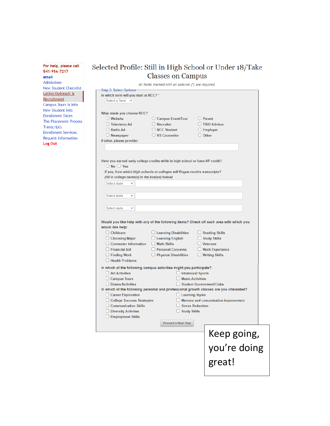**For help, please call 541 -956-7217 email**  Admissions New Student Checklist Latino Outreach & **Recruitment** Campus Tours ft Info New Student Info Enrollment Dates The Placement Process **Transcripts** Enrollment Services Request Information **Log Out**  I

## Selected Profile: Still in High School or Under 18/Take Classes on Campus

|                                                                               | All fields marked with an asterisk (*) are required. |                                                                                                           |  |
|-------------------------------------------------------------------------------|------------------------------------------------------|-----------------------------------------------------------------------------------------------------------|--|
| <b>Step 3: Select Options-</b>                                                |                                                      |                                                                                                           |  |
| In which term will you start at RCC? *                                        |                                                      |                                                                                                           |  |
| Select a Term $\vee$                                                          |                                                      |                                                                                                           |  |
|                                                                               |                                                      |                                                                                                           |  |
| What made you choose RCC?                                                     |                                                      |                                                                                                           |  |
| $\bigcirc$ Website                                                            | ○ Campus Event/Tour                                  | $\bigcirc$ Parent                                                                                         |  |
| ◯ Television Ad                                                               | $\bigcirc$ Recruiter                                 | ◯ TRiO Advisor                                                                                            |  |
| ◯ Radio Ad                                                                    | $\bigcirc$ RCC Student                               | $\bigcirc$ Employer                                                                                       |  |
| $\bigcirc$ Newspaper                                                          | O HS Counselor                                       | $\bigcirc$ Other                                                                                          |  |
| If other, please provide:                                                     |                                                      |                                                                                                           |  |
|                                                                               |                                                      |                                                                                                           |  |
|                                                                               |                                                      |                                                                                                           |  |
|                                                                               |                                                      |                                                                                                           |  |
| Have you earned early college credits while in high school or have AP credit? |                                                      |                                                                                                           |  |
| $\bigcirc$ No $\bigcirc$ Yes                                                  |                                                      |                                                                                                           |  |
| If yes, from which high schools or colleges will Rogue receive transcripts?   |                                                      |                                                                                                           |  |
| (fill in college name(s) in the box(es) below)                                |                                                      |                                                                                                           |  |
| Select state<br>$\checkmark$                                                  |                                                      |                                                                                                           |  |
|                                                                               |                                                      |                                                                                                           |  |
| Select state<br>$\checkmark$                                                  |                                                      |                                                                                                           |  |
|                                                                               |                                                      |                                                                                                           |  |
| $\checkmark$                                                                  |                                                      |                                                                                                           |  |
| Select state                                                                  |                                                      |                                                                                                           |  |
| would like help:<br>$\Box$ Childcare                                          | $\Box$ Learning Disabilities                         | Would you like help with any of the following items? Check off each area with which you<br>Reading Skills |  |
| $\Box$ Choosing Major                                                         | $\Box$ Learning English                              | Study Skills                                                                                              |  |
| $\Box$ Commuter Information                                                   | $\Box$ Math Skills                                   | $\Box$ Veterans                                                                                           |  |
| $\Box$ Financial Aid                                                          | Personal Concerns                                    | $\Box$ Work Experience                                                                                    |  |
| $\Box$ Finding Work                                                           | Physical Disabilities                                | $\Box$ Writing Skills                                                                                     |  |
| Health Problems                                                               |                                                      |                                                                                                           |  |
| In which of the following campus activities might you participate?            |                                                      |                                                                                                           |  |
| $\Box$ Art Activities                                                         |                                                      |                                                                                                           |  |
| $\Box$ Campus Tours                                                           |                                                      | $\Box$ Intramural Sports<br><b>Music Activities</b>                                                       |  |
| □ Drama Activities                                                            |                                                      | Student Government/Clubs                                                                                  |  |
|                                                                               |                                                      | In which of the following personal and professional growth classes are you interested?                    |  |
|                                                                               |                                                      |                                                                                                           |  |
| Career Exploration                                                            |                                                      | $\Box$ Learning Styles                                                                                    |  |
| □ College Success Strategies                                                  |                                                      | $\Box$ Memory and concentration improvement                                                               |  |
| $\Box$ Communication Skills                                                   |                                                      | □ Stress Reduction<br>$\Box$ Study Skills                                                                 |  |
| □ Diversity Activites                                                         |                                                      |                                                                                                           |  |
| Employment Skills                                                             |                                                      |                                                                                                           |  |
|                                                                               |                                                      |                                                                                                           |  |
|                                                                               | <b>Proceed to Next Step</b>                          |                                                                                                           |  |
|                                                                               |                                                      | Keep going,                                                                                               |  |

Keep going, you're doing great!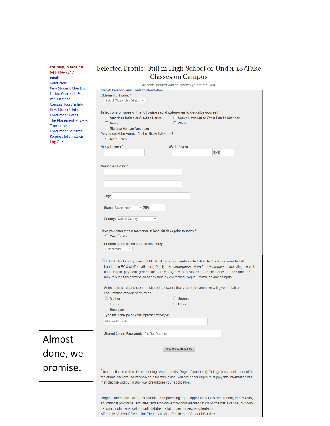| For help, please call                              | Selected Profile: Still in High School or Under 18/Take                                                                                                                                                                                                                                                                                                                                              |
|----------------------------------------------------|------------------------------------------------------------------------------------------------------------------------------------------------------------------------------------------------------------------------------------------------------------------------------------------------------------------------------------------------------------------------------------------------------|
| 541-956-7217<br>email                              | <b>Classes on Campus</b>                                                                                                                                                                                                                                                                                                                                                                             |
| <b>Admissions</b>                                  | All fields marked with an asterisk (*) are required.                                                                                                                                                                                                                                                                                                                                                 |
| <b>New Student Checklist</b><br>Latino Outreach &  | <b>Step 4: Personal and Contact Information-</b>                                                                                                                                                                                                                                                                                                                                                     |
| Recruitment                                        | <b>Citizenship Status: *</b><br>Select Citizenship Status V                                                                                                                                                                                                                                                                                                                                          |
| Campus Tours & Info<br>New Student Info            |                                                                                                                                                                                                                                                                                                                                                                                                      |
| <b>Enrollment Dates</b>                            | Select one or more of the following racial categories to describe yourself:<br>American Indian or Alaskan Native<br>$\Box$ Native Hawaiian or Other Pacific Islander                                                                                                                                                                                                                                 |
| <b>The Placement Process</b><br><b>Transcripts</b> | $\Box$ Asian<br>$\Box$ White                                                                                                                                                                                                                                                                                                                                                                         |
| <b>Enrollment Services</b>                         | $\Box$ Black or African American<br>Do you consider yourself to be Hispanic/Latino?                                                                                                                                                                                                                                                                                                                  |
| Request Information<br>Log Out                     | $\bigcirc$ No $\bigcirc$ Yes                                                                                                                                                                                                                                                                                                                                                                         |
|                                                    | <b>Home Phone: *</b><br><b>Work Phone:</b>                                                                                                                                                                                                                                                                                                                                                           |
|                                                    | EXT:                                                                                                                                                                                                                                                                                                                                                                                                 |
|                                                    | <b>Mailing Address: *</b>                                                                                                                                                                                                                                                                                                                                                                            |
|                                                    |                                                                                                                                                                                                                                                                                                                                                                                                      |
|                                                    |                                                                                                                                                                                                                                                                                                                                                                                                      |
|                                                    |                                                                                                                                                                                                                                                                                                                                                                                                      |
|                                                    | City:                                                                                                                                                                                                                                                                                                                                                                                                |
|                                                    |                                                                                                                                                                                                                                                                                                                                                                                                      |
|                                                    | State: Select state<br>$\times$ ZIP:                                                                                                                                                                                                                                                                                                                                                                 |
|                                                    | County: Select County<br>$\checkmark$                                                                                                                                                                                                                                                                                                                                                                |
|                                                    | Have you been at this residence at least 90 days prior to today?<br>$\bigcirc$ Yes $\bigcirc$ No                                                                                                                                                                                                                                                                                                     |
|                                                    | If different state, select state of residency<br>Select state<br>$\checkmark$                                                                                                                                                                                                                                                                                                                        |
|                                                    | Check this box if you would like to allow a representative to talk to RCC staff on your behalf.<br>I authorize RCC staff to talk to my family member/representative for the purpose of assisting me with<br>financial aid, payment, grades, academic progress, behavior and term schedule. I understand that I<br>may rescind this permission at any time by contacting Rogue Central on any campus. |
|                                                    | Select one or all and create a shared password that your representative will give to staff as                                                                                                                                                                                                                                                                                                        |
|                                                    | confirmation of your permission:<br><b>Mother</b>                                                                                                                                                                                                                                                                                                                                                    |
|                                                    | $\Box$ Spouse<br>$\Box$ Father<br>Other                                                                                                                                                                                                                                                                                                                                                              |
|                                                    | $\Box$ Employer                                                                                                                                                                                                                                                                                                                                                                                      |
|                                                    | Type the name(s) of your representative(s):<br><b>Mother McTesty</b>                                                                                                                                                                                                                                                                                                                                 |
|                                                    |                                                                                                                                                                                                                                                                                                                                                                                                      |
|                                                    | Shared Secret Password: C's Get Degrees                                                                                                                                                                                                                                                                                                                                                              |
| Almost                                             |                                                                                                                                                                                                                                                                                                                                                                                                      |
| done, we                                           | <b>Proceed to Next Step</b>                                                                                                                                                                                                                                                                                                                                                                          |
| promise.                                           | <sup>1</sup> In compliance with federal reporting requirements, Rogue Community College must seek to identify<br>the ethnic background of applicants for admission. You are encouraged to supply this information but<br>may decline without in any way prejudicing your application.                                                                                                                |
|                                                    | Rogue Community College is committed to providing equal opportunity in its recruitment, admissions,<br>educational programs, activities, and employment without discrimination on the basis of age, disability,<br>national origin, race, color, marital status, religion, sex, or sexual orientation.<br>Affirmative Action Officer: Kori Ebenhack, Vice President of Student Services.             |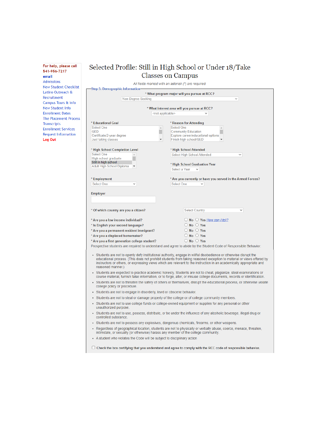#### **For help, please call 541-956-7217**

**email**  Admissions New Student Checklist Latino Outreach & Recruitment Campus Tours & Info New Student Info Enrollment Dates The Placement Process **Transcripts** Enrollment Services Request Information **Log Out** 

### Selected Profile: Still in High School or Under 18/Take Classes on Campus

|                                                                                                                                                                | * What program major will you pursue at RCC?                                                                                                                                                                                                                                                                                                                      |
|----------------------------------------------------------------------------------------------------------------------------------------------------------------|-------------------------------------------------------------------------------------------------------------------------------------------------------------------------------------------------------------------------------------------------------------------------------------------------------------------------------------------------------------------|
| Non-Degree Seeking                                                                                                                                             | $\checkmark$                                                                                                                                                                                                                                                                                                                                                      |
|                                                                                                                                                                | * What interest area will you pursue at RCC?                                                                                                                                                                                                                                                                                                                      |
|                                                                                                                                                                | <not applicable=""></not>                                                                                                                                                                                                                                                                                                                                         |
|                                                                                                                                                                |                                                                                                                                                                                                                                                                                                                                                                   |
| * Educational Goal                                                                                                                                             | * Reason for Attending                                                                                                                                                                                                                                                                                                                                            |
| <b>Select One</b><br>$\Delta$                                                                                                                                  | Select One<br>$\Delta$                                                                                                                                                                                                                                                                                                                                            |
| <b>GED</b><br>Certificate/2-year degree                                                                                                                        | <b>Community Education</b><br>Explore career/educational options                                                                                                                                                                                                                                                                                                  |
| Just taking classes                                                                                                                                            | Finish high school/GED                                                                                                                                                                                                                                                                                                                                            |
|                                                                                                                                                                |                                                                                                                                                                                                                                                                                                                                                                   |
| * High School Completion Level                                                                                                                                 | * High School Attended                                                                                                                                                                                                                                                                                                                                            |
| <b>Select One</b>                                                                                                                                              | Select High School Attended<br>$\checkmark$                                                                                                                                                                                                                                                                                                                       |
| High school graduate                                                                                                                                           |                                                                                                                                                                                                                                                                                                                                                                   |
| Still in high school<br>Adult High School Diploma                                                                                                              | * High School Graduation Year                                                                                                                                                                                                                                                                                                                                     |
|                                                                                                                                                                | Select a Year<br>$\checkmark$                                                                                                                                                                                                                                                                                                                                     |
|                                                                                                                                                                |                                                                                                                                                                                                                                                                                                                                                                   |
| * Employment                                                                                                                                                   | * Are you currently or have you served in the Armed Forces?                                                                                                                                                                                                                                                                                                       |
| <b>Select One</b><br>v                                                                                                                                         | <b>Select One</b><br>$\checkmark$                                                                                                                                                                                                                                                                                                                                 |
|                                                                                                                                                                |                                                                                                                                                                                                                                                                                                                                                                   |
| <b>Employer</b>                                                                                                                                                |                                                                                                                                                                                                                                                                                                                                                                   |
|                                                                                                                                                                |                                                                                                                                                                                                                                                                                                                                                                   |
|                                                                                                                                                                |                                                                                                                                                                                                                                                                                                                                                                   |
| * Of which country are you a citizen?                                                                                                                          | <b>Select Country</b><br>$\checkmark$                                                                                                                                                                                                                                                                                                                             |
|                                                                                                                                                                |                                                                                                                                                                                                                                                                                                                                                                   |
| * Are you a low income individual?                                                                                                                             |                                                                                                                                                                                                                                                                                                                                                                   |
|                                                                                                                                                                |                                                                                                                                                                                                                                                                                                                                                                   |
|                                                                                                                                                                | $\bigcirc$ No $\bigcirc$ Yes How can I tell?                                                                                                                                                                                                                                                                                                                      |
| * Is English your second language?                                                                                                                             | $\bigcirc$ No $\bigcirc$ Yes                                                                                                                                                                                                                                                                                                                                      |
| * Are you a permanent resident immigrant?                                                                                                                      | $\bigcirc$ No $\bigcirc$ Yes                                                                                                                                                                                                                                                                                                                                      |
| * Are you a displaced homemaker?                                                                                                                               | $\bigcirc$ No $\bigcirc$ Yes                                                                                                                                                                                                                                                                                                                                      |
| * Are you a first generation college student?                                                                                                                  | $\bigcirc$ No $\bigcirc$ Yes                                                                                                                                                                                                                                                                                                                                      |
|                                                                                                                                                                | Prospective students are required to understand and agree to abide by the Student Code of Responsible Behavior:                                                                                                                                                                                                                                                   |
| reasoned manner.)                                                                                                                                              | • Students are not to openly defy institutional authority, engage in willful disobedience or otherwise disrupt the<br>educational process. (This does not prohibit students from taking reasoned exception to material or views offered by<br>instructors or others, or expressing views which are relevant to the instruction in an academically appropriate and |
|                                                                                                                                                                | Students are expected to practice academic honesty. Students are not to cheat, plagiarize, steal examinations or<br>course material, furnish false information, or to forge, alter, or misuse college documents, records or identification.                                                                                                                       |
| college policy or procedure.                                                                                                                                   | • Students are not to threaten the safety of others or themselves, disrupt the educational process, or otherwise violate                                                                                                                                                                                                                                          |
| · Students are not to engage in disorderly, lewd or obscene behavior.                                                                                          |                                                                                                                                                                                                                                                                                                                                                                   |
|                                                                                                                                                                | . Students are not to steal or damage property of the college or of college community members.                                                                                                                                                                                                                                                                    |
| unauthorized purpose.                                                                                                                                          | - Students are not to use college funds or college-owned equipment or supplies for any personal or other                                                                                                                                                                                                                                                          |
| controlled substance.                                                                                                                                          | • Students are not to use, possess, distribute, or be under the influence of any alcoholic beverage, illegal drug or                                                                                                                                                                                                                                              |
|                                                                                                                                                                |                                                                                                                                                                                                                                                                                                                                                                   |
|                                                                                                                                                                | • Students are not to possess any explosives, dangerous chemicals, firearms, or other weapons.<br>• Regardless of geographical location, students are not to physically or verbally abuse, coerce, menace, threaten,                                                                                                                                              |
| intimidate, or sexually (or otherwise) harass any member of the college community.<br>• A student who violates the Code will be subject to disciplinary action |                                                                                                                                                                                                                                                                                                                                                                   |